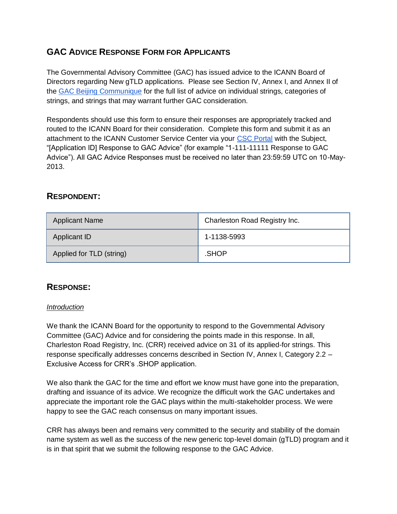# **GAC ADVICE RESPONSE FORM FOR APPLICANTS**

The Governmental Advisory Committee (GAC) has issued advice to the ICANN Board of Directors regarding New gTLD applications. Please see Section IV, Annex I, and Annex II of th[e](http://www.icann.org/en/news/correspondence/gac-to-board-18apr13-en.pdf) [GAC Beijing Communique](http://www.icann.org/en/news/correspondence/gac-to-board-18apr13-en.pdf) for the full list of advice on individual strings, categories of strings, and strings that may warrant further GAC consideration.

Respondents should use this form to ensure their responses are appropriately tracked and routed to the ICANN Board for their consideration. Complete this form and submit it as an attachment to the ICANN Customer Service Center via your [CSC Portal](https://myicann.secure.force.com/) with the Subject, "[Application ID] Response to GAC Advice" (for example "1-111-11111 Response to GAC Advice"). All GAC Advice Responses must be received no later than 23:59:59 UTC on 10-May-2013.

# **RESPONDENT:**

| <b>Applicant Name</b>    | Charleston Road Registry Inc. |
|--------------------------|-------------------------------|
| Applicant ID             | 1-1138-5993                   |
| Applied for TLD (string) | .SHOP                         |

# **RESPONSE:**

#### *Introduction*

We thank the ICANN Board for the opportunity to respond to the Governmental Advisory Committee (GAC) Advice and for considering the points made in this response. In all, Charleston Road Registry, Inc. (CRR) received advice on 31 of its applied-for strings. This response specifically addresses concerns described in Section IV, Annex I, Category 2.2 – Exclusive Access for CRR's .SHOP application.

We also thank the GAC for the time and effort we know must have gone into the preparation, drafting and issuance of its advice. We recognize the difficult work the GAC undertakes and appreciate the important role the GAC plays within the multi-stakeholder process. We were happy to see the GAC reach consensus on many important issues.

CRR has always been and remains very committed to the security and stability of the domain name system as well as the success of the new generic top-level domain (gTLD) program and it is in that spirit that we submit the following response to the GAC Advice.